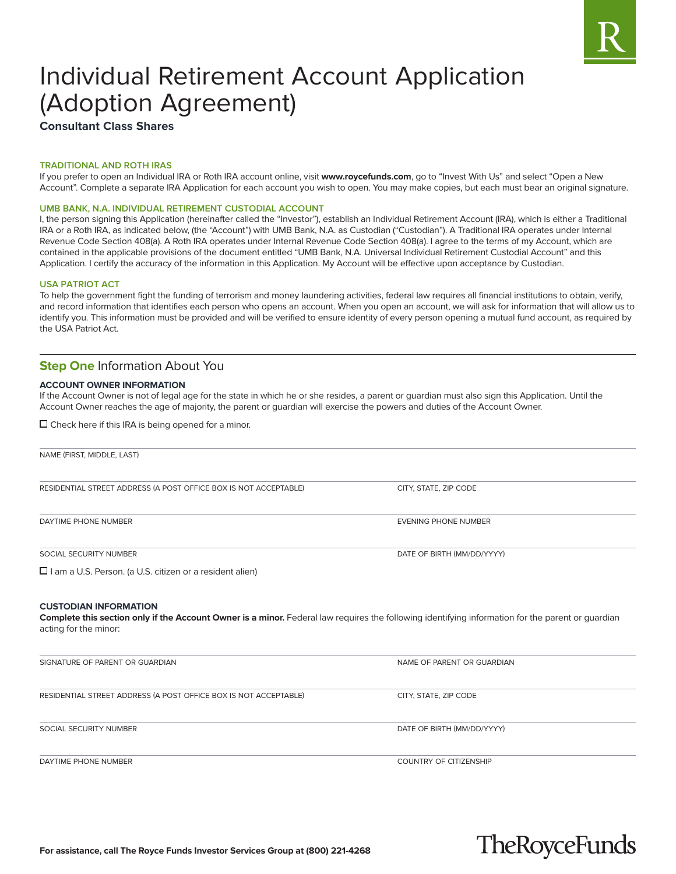

# Individual Retirement Account Application (Adoption Agreement)

**Consultant Class Shares**

#### **TRADITIONAL AND ROTH IRAS**

If you prefer to open an Individual IRA or Roth IRA account online, visit **www.roycefunds.com**, go to "Invest With Us" and select "Open a New Account". Complete a separate IRA Application for each account you wish to open. You may make copies, but each must bear an original signature.

#### **UMB BANK, N.A. INDIVIDUAL RETIREMENT CUSTODIAL ACCOUNT**

I, the person signing this Application (hereinafter called the "Investor"), establish an Individual Retirement Account (IRA), which is either a Traditional IRA or a Roth IRA, as indicated below, (the "Account") with UMB Bank, N.A. as Custodian ("Custodian"). A Traditional IRA operates under Internal Revenue Code Section 408(a). A Roth IRA operates under Internal Revenue Code Section 408(a). I agree to the terms of my Account, which are contained in the applicable provisions of the document entitled "UMB Bank, N.A. Universal Individual Retirement Custodial Account" and this Application. I certify the accuracy of the information in this Application. My Account will be effective upon acceptance by Custodian.

#### **USA PATRIOT ACT**

To help the government fight the funding of terrorism and money laundering activities, federal law requires all financial institutions to obtain, verify, and record information that identifies each person who opens an account. When you open an account, we will ask for information that will allow us to identify you. This information must be provided and will be verified to ensure identity of every person opening a mutual fund account, as required by the USA Patriot Act.

# **Step One Information About You**

#### **ACCOUNT OWNER INFORMATION**

If the Account Owner is not of legal age for the state in which he or she resides, a parent or guardian must also sign this Application. Until the Account Owner reaches the age of majority, the parent or guardian will exercise the powers and duties of the Account Owner.

 $\Box$  Check here if this IRA is being opened for a minor.

| NAME (FIRST, MIDDLE, LAST)                                                                                                                                                 |                             |  |
|----------------------------------------------------------------------------------------------------------------------------------------------------------------------------|-----------------------------|--|
|                                                                                                                                                                            |                             |  |
| RESIDENTIAL STREET ADDRESS (A POST OFFICE BOX IS NOT ACCEPTABLE)                                                                                                           | CITY, STATE, ZIP CODE       |  |
| DAYTIME PHONE NUMBER                                                                                                                                                       | <b>EVENING PHONE NUMBER</b> |  |
| SOCIAL SECURITY NUMBER                                                                                                                                                     | DATE OF BIRTH (MM/DD/YYYY)  |  |
| □ I am a U.S. Person. (a U.S. citizen or a resident alien)                                                                                                                 |                             |  |
|                                                                                                                                                                            |                             |  |
| Complete this section only if the Account Owner is a minor. Federal law requires the following identifying information for the parent or guardian<br>acting for the minor: |                             |  |
| SIGNATURE OF PARENT OR GUARDIAN                                                                                                                                            | NAME OF PARENT OR GUARDIAN  |  |
| RESIDENTIAL STREET ADDRESS (A POST OFFICE BOX IS NOT ACCEPTABLE)                                                                                                           | CITY, STATE, ZIP CODE       |  |
| SOCIAL SECURITY NUMBER                                                                                                                                                     | DATE OF BIRTH (MM/DD/YYYY)  |  |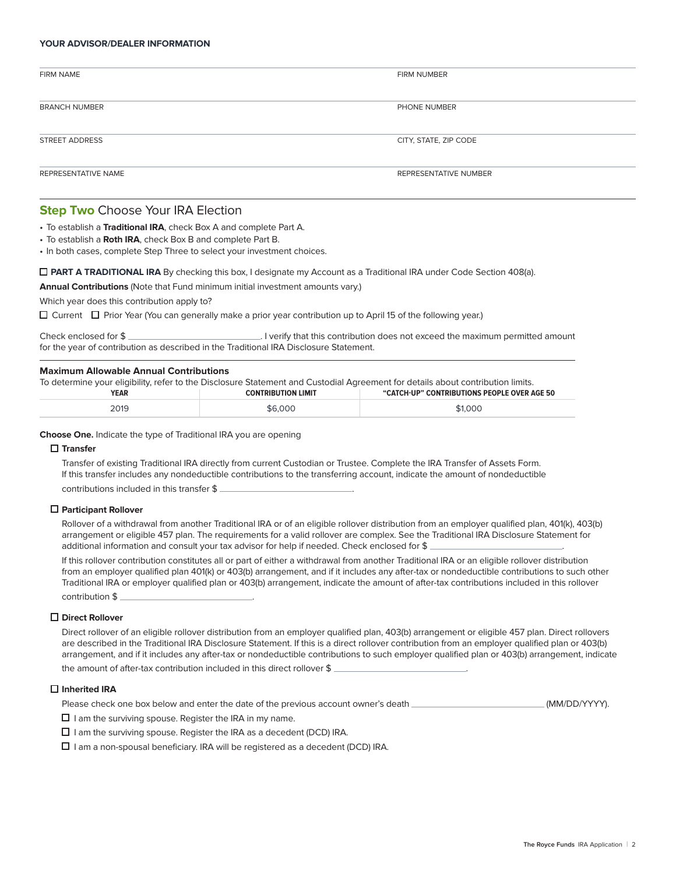#### **YOUR ADVISOR/DEALER INFORMATION**

| <b>FIRM NAME</b>     | FIRM NUMBER           |
|----------------------|-----------------------|
|                      |                       |
|                      |                       |
|                      |                       |
| <b>BRANCH NUMBER</b> | PHONE NUMBER          |
|                      |                       |
|                      |                       |
|                      |                       |
| STREET ADDRESS       | CITY, STATE, ZIP CODE |
|                      |                       |
|                      |                       |
| REPRESENTATIVE NAME  | REPRESENTATIVE NUMBER |
|                      |                       |

# **Step Two Choose Your IRA Election**

• To establish a **Traditional IRA**, check Box A and complete Part A.

- To establish a **Roth IRA**, check Box B and complete Part B.
- In both cases, complete Step Three to select your investment choices.

#### **PART A TRADITIONAL IRA** By checking this box, I designate my Account as a Traditional IRA under Code Section 408(a).

**Annual Contributions** (Note that Fund minimum initial investment amounts vary.)

Which year does this contribution apply to?

 $\Box$  Current  $\Box$  Prior Year (You can generally make a prior year contribution up to April 15 of the following year.)

Check enclosed for \$ for the year of contribution as described in the Traditional IRA Disclosure Statement.

#### **Maximum Allowable Annual Contributions**

| To determine your eligibility, refer to the Disclosure Statement and Custodial Agreement for details about contribution limits. |                           |                                             |
|---------------------------------------------------------------------------------------------------------------------------------|---------------------------|---------------------------------------------|
| YEAR                                                                                                                            | <b>CONTRIBUTION LIMIT</b> | "CATCH-UP" CONTRIBUTIONS PEOPLE OVER AGE 50 |
| 2019                                                                                                                            | \$6,000                   | \$1,000                                     |

**Choose One.** Indicate the type of Traditional IRA you are opening

#### **Transfer**

 Transfer of existing Traditional IRA directly from current Custodian or Trustee. Complete the IRA Transfer of Assets Form. If this transfer includes any nondeductible contributions to the transferring account, indicate the amount of nondeductible contributions included in this transfer \$

#### **Participant Rollover**

 Rollover of a withdrawal from another Traditional IRA or of an eligible rollover distribution from an employer qualified plan, 401(k), 403(b) arrangement or eligible 457 plan. The requirements for a valid rollover are complex. See the Traditional IRA Disclosure Statement for additional information and consult your tax advisor for help if needed. Check enclosed for \$ .

 If this rollover contribution constitutes all or part of either a withdrawal from another Traditional IRA or an eligible rollover distribution from an employer qualified plan 401(k) or 403(b) arrangement, and if it includes any after-tax or nondeductible contributions to such other Traditional IRA or employer qualified plan or 403(b) arrangement, indicate the amount of after-tax contributions included in this rollover contribution \$ .

#### **Direct Rollover**

 Direct rollover of an eligible rollover distribution from an employer qualified plan, 403(b) arrangement or eligible 457 plan. Direct rollovers are described in the Traditional IRA Disclosure Statement. If this is a direct rollover contribution from an employer qualified plan or 403(b) arrangement, and if it includes any after-tax or nondeductible contributions to such employer qualified plan or 403(b) arrangement, indicate the amount of after-tax contribution included in this direct rollover \$

# **Inherited IRA**

Please check one box below and enter the date of the previous account owner's death (MM/DD/YYYY).

 $\Box$  I am the surviving spouse. Register the IRA in my name.

 $\Box$  I am the surviving spouse. Register the IRA as a decedent (DCD) IRA.

 $\square$  I am a non-spousal beneficiary. IRA will be registered as a decedent (DCD) IRA.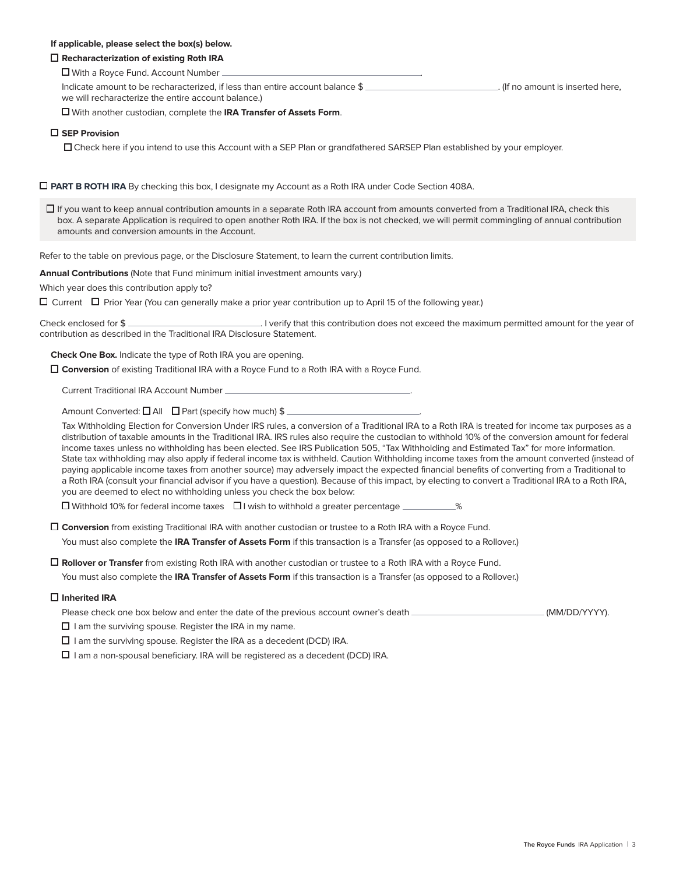## **If applicable, please select the box(s) below.**

# **Recharacterization of existing Roth IRA**

■ With a Royce Fund. Account Number

Indicate amount to be recharacterized, if less than entire account balance \$ we will recharacterize the entire account balance.)

With another custodian, complete the **IRA Transfer of Assets Form**.

#### **SEP Provision**

Check here if you intend to use this Account with a SEP Plan or grandfathered SARSEP Plan established by your employer.

#### **PART B ROTH IRA** By checking this box, I designate my Account as a Roth IRA under Code Section 408A.

 $\Box$  If you want to keep annual contribution amounts in a separate Roth IRA account from amounts converted from a Traditional IRA, check this box. A separate Application is required to open another Roth IRA. If the box is not checked, we will permit commingling of annual contribution amounts and conversion amounts in the Account.

Refer to the table on previous page, or the Disclosure Statement, to learn the current contribution limits.

**Annual Contributions** (Note that Fund minimum initial investment amounts vary.)

Which year does this contribution apply to?

 $\Box$  Current  $\Box$  Prior Year (You can generally make a prior year contribution up to April 15 of the following year.)

Check enclosed for \$ contribution as described in the Traditional IRA Disclosure Statement.

**Check One Box.** Indicate the type of Roth IRA you are opening.

**Conversion** of existing Traditional IRA with a Royce Fund to a Roth IRA with a Royce Fund.

Current Traditional IRA Account Number .

Amount Converted:  $\Box$  All  $\Box$  Part (specify how much) \$

 Tax Withholding Election for Conversion Under IRS rules, a conversion of a Traditional IRA to a Roth IRA is treated for income tax purposes as a distribution of taxable amounts in the Traditional IRA. IRS rules also require the custodian to withhold 10% of the conversion amount for federal income taxes unless no withholding has been elected. See IRS Publication 505, "Tax Withholding and Estimated Tax" for more information. State tax withholding may also apply if federal income tax is withheld. Caution Withholding income taxes from the amount converted (instead of paying applicable income taxes from another source) may adversely impact the expected financial benefits of converting from a Traditional to a Roth IRA (consult your financial advisor if you have a question). Because of this impact, by electing to convert a Traditional IRA to a Roth IRA, you are deemed to elect no withholding unless you check the box below:

 $\Box$  Withhold 10% for federal income taxes  $\Box$  I wish to withhold a greater percentage  $\Box$ 

 **Conversion** from existing Traditional IRA with another custodian or trustee to a Roth IRA with a Royce Fund. You must also complete the **IRA Transfer of Assets Form** if this transaction is a Transfer (as opposed to a Rollover.)

**Rollover or Transfer** from existing Roth IRA with another custodian or trustee to a Roth IRA with a Royce Fund. You must also complete the **IRA Transfer of Assets Form** if this transaction is a Transfer (as opposed to a Rollover.)

#### **Inherited IRA**

Please check one box below and enter the date of the previous account owner's death (MM/DD/YYYY).

 $\Box$  I am the surviving spouse. Register the IRA in my name.

 $\Box$  I am the surviving spouse. Register the IRA as a decedent (DCD) IRA.

 $\Box$  I am a non-spousal beneficiary. IRA will be registered as a decedent (DCD) IRA.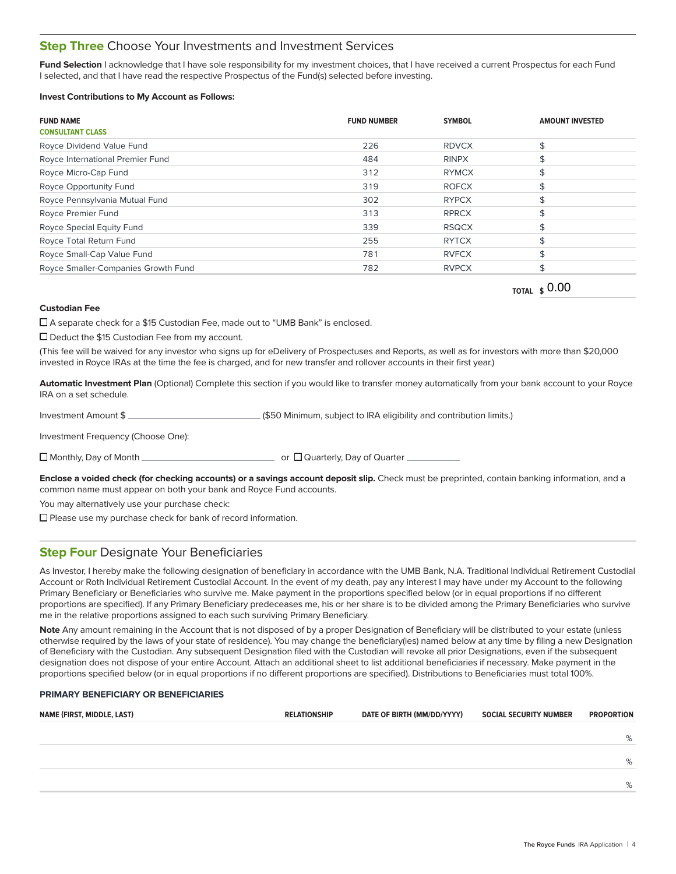# **Step Three** Choose Your Investments and Investment Services

Fund Selection I acknowledge that I have sole responsibility for my investment choices, that I have received a current Prospectus for each Fund I selected, and that I have read the respective Prospectus of the Fund(s) selected before investing.

#### **Invest Contributions to My Account as Follows:**

| <b>FUND NAME</b><br><b>CONSULTANT CLASS</b> | <b>FUND NUMBER</b> | <b>SYMBOL</b> | <b>AMOUNT INVESTED</b> |
|---------------------------------------------|--------------------|---------------|------------------------|
| Royce Dividend Value Fund                   | 226                | <b>RDVCX</b>  |                        |
| Royce International Premier Fund            | 484                | <b>RINPX</b>  |                        |
| Royce Micro-Cap Fund                        | 312                | <b>RYMCX</b>  |                        |
| Royce Opportunity Fund                      | 319                | <b>ROFCX</b>  |                        |
| Royce Pennsylvania Mutual Fund              | 302                | <b>RYPCX</b>  |                        |
| Royce Premier Fund                          | 313                | <b>RPRCX</b>  |                        |
| Royce Special Equity Fund                   | 339                | <b>RSQCX</b>  |                        |
| Royce Total Return Fund                     | 255                | <b>RYTCX</b>  |                        |
| Royce Small-Cap Value Fund                  | 781                | <b>RVFCX</b>  |                        |
| Royce Smaller-Companies Growth Fund         | 782                | <b>RVPCX</b>  |                        |
|                                             |                    |               | $\sim$ $\sim$          |

**TOTAL \$** 0.00

#### **Custodian Fee**

A separate check for a \$15 Custodian Fee, made out to "UMB Bank" is enclosed.

□ Deduct the \$15 Custodian Fee from my account.

(This fee will be waived for any investor who signs up for eDelivery of Prospectuses and Reports, as well as for investors with more than \$20,000 invested in Royce IRAs at the time the fee is charged, and for new transfer and rollover accounts in their first year.)

**Automatic Investment Plan** (Optional) Complete this section if you would like to transfer money automatically from your bank account to your Royce IRA on a set schedule.

Investment Amount \$

Investment Frequency (Choose One):

Monthly, Day of Month or Quarterly, Day of Quarter

**Enclose a voided check (for checking accounts) or a savings account deposit slip.** Check must be preprinted, contain banking information, and a common name must appear on both your bank and Royce Fund accounts.

You may alternatively use your purchase check:

 $\square$  Please use my purchase check for bank of record information.

# **Step Four** Designate Your Beneficiaries

As Investor, I hereby make the following designation of beneficiary in accordance with the UMB Bank, N.A. Traditional Individual Retirement Custodial Account or Roth Individual Retirement Custodial Account. In the event of my death, pay any interest I may have under my Account to the following Primary Beneficiary or Beneficiaries who survive me. Make payment in the proportions specified below (or in equal proportions if no different proportions are specified). If any Primary Beneficiary predeceases me, his or her share is to be divided among the Primary Beneficiaries who survive me in the relative proportions assigned to each such surviving Primary Beneficiary.

Note Any amount remaining in the Account that is not disposed of by a proper Designation of Beneficiary will be distributed to your estate (unless otherwise required by the laws of your state of residence). You may change the beneficiary(ies) named below at any time by filing a new Designation of Beneficiary with the Custodian. Any subsequent Designation filed with the Custodian will revoke all prior Designations, even if the subsequent designation does not dispose of your entire Account. Attach an additional sheet to list additional beneficiaries if necessary. Make payment in the proportions specified below (or in equal proportions if no different proportions are specified). Distributions to Beneficiaries must total 100%.

### **PRIMARY BENEFICIARY OR BENEFICIARIES**

| NAME (FIRST, MIDDLE, LAST) | <b>RELATIONSHIP</b> | DATE OF BIRTH (MM/DD/YYYY) | <b>SOCIAL SECURITY NUMBER</b> | <b>PROPORTION</b> |
|----------------------------|---------------------|----------------------------|-------------------------------|-------------------|
|                            |                     |                            |                               | %                 |
|                            |                     |                            |                               |                   |
|                            |                     |                            |                               | %                 |
|                            |                     |                            |                               | %                 |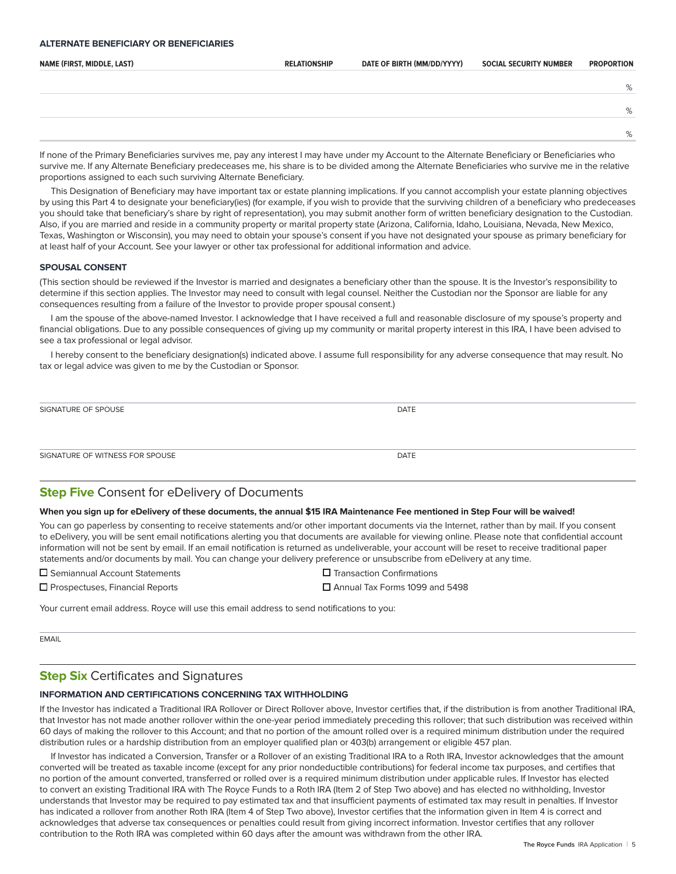#### **ALTERNATE BENEFICIARY OR BENEFICIARIES**

| NAME (FIRST, MIDDLE, LAST) | <b>RELATIONSHIP</b> | DATE OF BIRTH (MM/DD/YYYY) | <b>SOCIAL SECURITY NUMBER</b> | <b>PROPORTION</b> |
|----------------------------|---------------------|----------------------------|-------------------------------|-------------------|
|                            |                     |                            |                               |                   |
|                            |                     |                            |                               | %                 |
|                            |                     |                            |                               | %                 |
|                            |                     |                            |                               | %                 |

If none of the Primary Beneficiaries survives me, pay any interest I may have under my Account to the Alternate Beneficiary or Beneficiaries who survive me. If any Alternate Beneficiary predeceases me, his share is to be divided among the Alternate Beneficiaries who survive me in the relative proportions assigned to each such surviving Alternate Beneficiary.

This Designation of Beneficiary may have important tax or estate planning implications. If you cannot accomplish your estate planning objectives by using this Part 4 to designate your beneficiary(ies) (for example, if you wish to provide that the surviving children of a beneficiary who predeceases you should take that beneficiary's share by right of representation), you may submit another form of written beneficiary designation to the Custodian. Also, if you are married and reside in a community property or marital property state (Arizona, California, Idaho, Louisiana, Nevada, New Mexico, Texas, Washington or Wisconsin), you may need to obtain your spouse's consent if you have not designated your spouse as primary beneficiary for at least half of your Account. See your lawyer or other tax professional for additional information and advice.

#### **SPOUSAL CONSENT**

(This section should be reviewed if the Investor is married and designates a beneficiary other than the spouse. It is the Investor's responsibility to determine if this section applies. The Investor may need to consult with legal counsel. Neither the Custodian nor the Sponsor are liable for any consequences resulting from a failure of the Investor to provide proper spousal consent.)

I am the spouse of the above-named Investor. I acknowledge that I have received a full and reasonable disclosure of my spouse's property and financial obligations. Due to any possible consequences of giving up my community or marital property interest in this IRA, I have been advised to see a tax professional or legal advisor.

I hereby consent to the beneficiary designation(s) indicated above. I assume full responsibility for any adverse consequence that may result. No tax or legal advice was given to me by the Custodian or Sponsor.

| SIGNATURE OF SPOUSE             | <b>DATE</b> |
|---------------------------------|-------------|
|                                 |             |
| SIGNATURE OF WITNESS FOR SPOUSE | DATE        |

# **Step Five** Consent for eDelivery of Documents

#### **When you sign up for eDelivery of these documents, the annual \$15 IRA Maintenance Fee mentioned in Step Four will be waived!**

You can go paperless by consenting to receive statements and/or other important documents via the Internet, rather than by mail. If you consent to eDelivery, you will be sent email notifications alerting you that documents are available for viewing online. Please note that confidential account information will not be sent by email. If an email notification is returned as undeliverable, your account will be reset to receive traditional paper statements and/or documents by mail. You can change your delivery preference or unsubscribe from eDelivery at any time.

**□** Semiannual Account Statements **TRA** Transaction Confirmations

Prospectuses, Financial ReportsAnnual Tax Forms 1099 and 5498

Your current email address. Royce will use this email address to send notifications to you:

EMAIL

# **Step Six** Certificates and Signatures

#### **INFORMATION AND CERTIFICATIONS CONCERNING TAX WITHHOLDING**

If the Investor has indicated a Traditional IRA Rollover or Direct Rollover above, Investor certifies that, if the distribution is from another Traditional IRA, that Investor has not made another rollover within the one-year period immediately preceding this rollover; that such distribution was received within 60 days of making the rollover to this Account; and that no portion of the amount rolled over is a required minimum distribution under the required distribution rules or a hardship distribution from an employer qualified plan or 403(b) arrangement or eligible 457 plan.

If Investor has indicated a Conversion, Transfer or a Rollover of an existing Traditional IRA to a Roth IRA, Investor acknowledges that the amount converted will be treated as taxable income (except for any prior nondeductible contributions) for federal income tax purposes, and certifies that no portion of the amount converted, transferred or rolled over is a required minimum distribution under applicable rules. If Investor has elected to convert an existing Traditional IRA with The Royce Funds to a Roth IRA (Item 2 of Step Two above) and has elected no withholding, Investor understands that Investor may be required to pay estimated tax and that insufficient payments of estimated tax may result in penalties. If Investor has indicated a rollover from another Roth IRA (Item 4 of Step Two above), Investor certifies that the information given in Item 4 is correct and acknowledges that adverse tax consequences or penalties could result from giving incorrect information. Investor certifies that any rollover contribution to the Roth IRA was completed within 60 days after the amount was withdrawn from the other IRA.